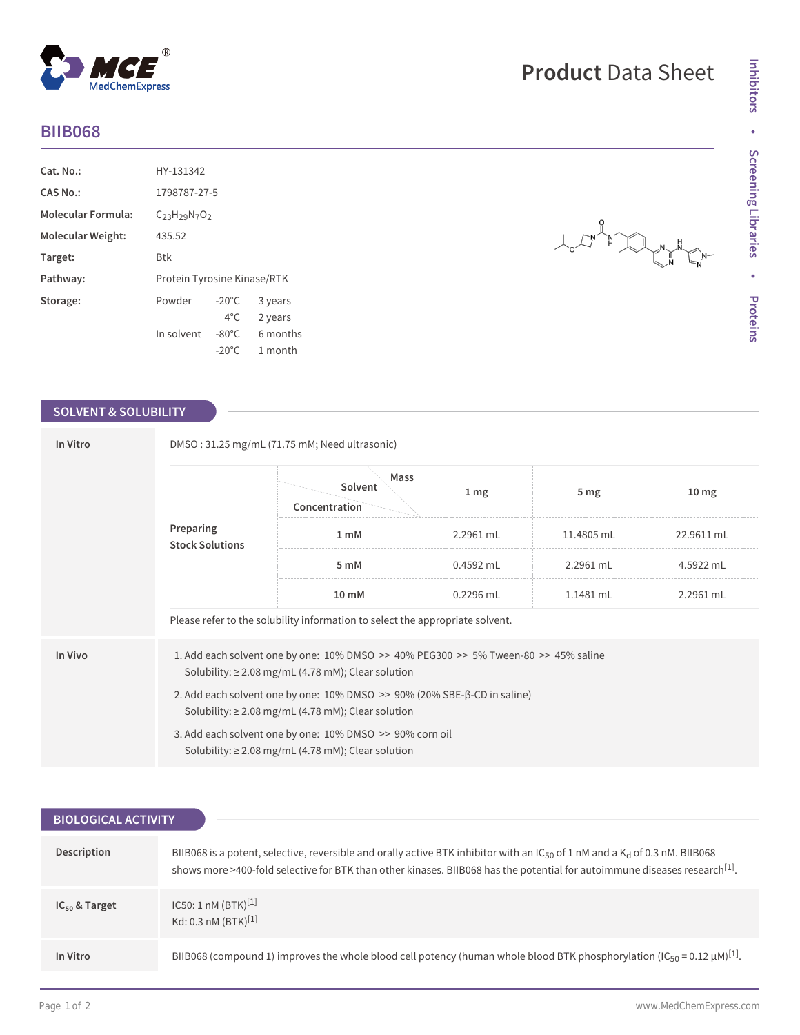## **BIIB068**

| Cat. No.:                 | HY-131342                   |                 |          |
|---------------------------|-----------------------------|-----------------|----------|
| CAS No.:                  | 1798787-27-5                |                 |          |
| <b>Molecular Formula:</b> | $C_{23}H_{29}N_{7}O_{2}$    |                 |          |
| Molecular Weight:         | 435.52                      |                 |          |
| Target:                   | <b>Btk</b>                  |                 |          |
| Pathway:                  | Protein Tyrosine Kinase/RTK |                 |          |
| Storage:                  | Powder                      | $-20^{\circ}$ C | 3 years  |
|                           |                             | $4^{\circ}$ C   | 2 years  |
|                           | In solvent                  | $-80^{\circ}$ C | 6 months |
|                           |                             | $-20^{\circ}$ C | 1 month  |

 $^{\circledR}$ 

MedChemExpress

## **SOLVENT & SOLUBILITY**

| In Vitro                            | DMSO: 31.25 mg/mL (71.75 mM; Need ultrasonic)                                                                                                                 |                                                                                                                     |                 |                 |                  |  |  |
|-------------------------------------|---------------------------------------------------------------------------------------------------------------------------------------------------------------|---------------------------------------------------------------------------------------------------------------------|-----------------|-----------------|------------------|--|--|
| Preparing<br><b>Stock Solutions</b> |                                                                                                                                                               | Mass<br>Solvent<br>Concentration                                                                                    | 1 <sub>mg</sub> | 5 <sub>mg</sub> | 10 <sub>mg</sub> |  |  |
|                                     |                                                                                                                                                               | 1 <sub>m</sub> M                                                                                                    | 2.2961 mL       | 11.4805 mL      | 22.9611 mL       |  |  |
|                                     | 5 mM                                                                                                                                                          | $0.4592$ mL                                                                                                         | 2.2961 mL       | 4.5922 mL       |                  |  |  |
|                                     | 10 mM                                                                                                                                                         | $0.2296$ mL                                                                                                         | $1.1481$ mL     | 2.2961 mL       |                  |  |  |
|                                     |                                                                                                                                                               | Please refer to the solubility information to select the appropriate solvent.                                       |                 |                 |                  |  |  |
| In Vivo                             | 1. Add each solvent one by one: $10\%$ DMSO $\geq$ 40% PEG300 $\geq$ 5% Tween-80 $\geq$ 45% saline<br>Solubility: $\geq$ 2.08 mg/mL (4.78 mM); Clear solution |                                                                                                                     |                 |                 |                  |  |  |
|                                     | 2. Add each solvent one by one: $10\%$ DMSO $\gg$ 90% (20% SBE- $\beta$ -CD in saline)<br>Solubility: $\geq$ 2.08 mg/mL (4.78 mM); Clear solution             |                                                                                                                     |                 |                 |                  |  |  |
|                                     |                                                                                                                                                               | 3. Add each solvent one by one: 10% DMSO >> 90% corn oil<br>Solubility: $\geq$ 2.08 mg/mL (4.78 mM); Clear solution |                 |                 |                  |  |  |

| <b>BIOLOGICAL ACTIVITY</b> |                                                                                                                                                                                                                                                                                        |  |  |  |
|----------------------------|----------------------------------------------------------------------------------------------------------------------------------------------------------------------------------------------------------------------------------------------------------------------------------------|--|--|--|
| Description                | BIIB068 is a potent, selective, reversible and orally active BTK inhibitor with an $IC_{50}$ of 1 nM and a K <sub>d</sub> of 0.3 nM. BIIB068<br>shows more >400-fold selective for BTK than other kinases. BIIB068 has the potential for autoimmune diseases research <sup>[1]</sup> . |  |  |  |
| $IC_{50}$ & Target         | IC50: 1 nM $(BTK)^{[1]}$<br>Kd: 0.3 nM $(BTK)^{[1]}$                                                                                                                                                                                                                                   |  |  |  |
| In Vitro                   | BIIB068 (compound 1) improves the whole blood cell potency (human whole blood BTK phosphorylation (IC <sub>50</sub> = 0.12 µM) <sup>[1]</sup> .                                                                                                                                        |  |  |  |

## **Product** Data Sheet